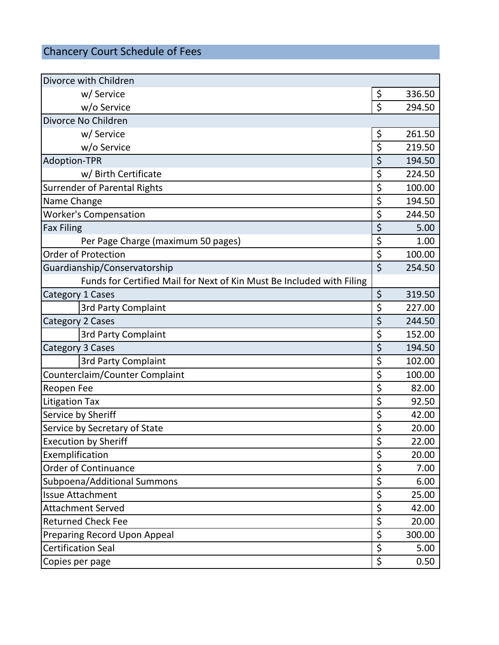## Chancery Court Schedule of Fees

| Divorce with Children                                                 |         |        |
|-----------------------------------------------------------------------|---------|--------|
| w/ Service                                                            | \$      | 336.50 |
| w/o Service                                                           | Ś       | 294.50 |
| Divorce No Children                                                   |         |        |
| w/ Service                                                            | \$      | 261.50 |
| w/o Service                                                           | \$      | 219.50 |
| <b>Adoption-TPR</b>                                                   | \$      | 194.50 |
| w/ Birth Certificate                                                  | \$      | 224.50 |
| <b>Surrender of Parental Rights</b>                                   | \$      | 100.00 |
| Name Change                                                           | \$      | 194.50 |
| <b>Worker's Compensation</b>                                          |         | 244.50 |
| <b>Fax Filing</b>                                                     | \$      | 5.00   |
| Per Page Charge (maximum 50 pages)                                    | \$      | 1.00   |
| <b>Order of Protection</b>                                            | \$      | 100.00 |
| Guardianship/Conservatorship                                          | $\zeta$ | 254.50 |
| Funds for Certified Mail for Next of Kin Must Be Included with Filing |         |        |
| <b>Category 1 Cases</b>                                               | \$      | 319.50 |
| 3rd Party Complaint                                                   | \$      | 227.00 |
| <b>Category 2 Cases</b>                                               | \$      | 244.50 |
| 3rd Party Complaint                                                   | \$      | 152.00 |
| Category 3 Cases                                                      | \$      | 194.50 |
| <b>3rd Party Complaint</b>                                            | \$      | 102.00 |
| Counterclaim/Counter Complaint                                        | \$      | 100.00 |
| Reopen Fee                                                            | \$      | 82.00  |
| <b>Litigation Tax</b>                                                 | \$      | 92.50  |
| Service by Sheriff                                                    | \$      | 42.00  |
| Service by Secretary of State                                         |         | 20.00  |
| <b>Execution by Sheriff</b>                                           | \$      | 22.00  |
| Exemplification                                                       | \$      | 20.00  |
| <b>Order of Continuance</b>                                           | \$      | 7.00   |
| Subpoena/Additional Summons                                           | \$      | 6.00   |
| <b>Issue Attachment</b>                                               | \$      | 25.00  |
| <b>Attachment Served</b>                                              |         | 42.00  |
| <b>Returned Check Fee</b>                                             |         | 20.00  |
| Preparing Record Upon Appeal                                          |         | 300.00 |
| <b>Certification Seal</b>                                             |         | 5.00   |
| Copies per page                                                       |         | 0.50   |